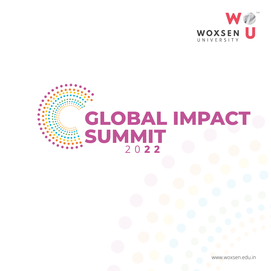

# **GLOBAL IMPACT SUMMIT** 2 0 **2 2**

www.woxsen.edu.in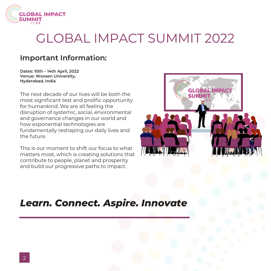

## GLOBAL IMPACT SUMMIT 2022

## **Important Information:**

**Dates: 10th – 14th April, 2022 Venue: Woxsen University, Hyderabad, India**

The next decade of our lives will be both the most significant test and prolific opportunity for humankind. We are all feeling the disruption of systemic, social, environmental and governance changes in our world and how exponential technologies are fundamentally reshaping our daily lives and the future.

This is our moment to shift our focus to what matters most, which is creating solutions that contribute to people, planet and prosperity and build our progressive paths to impact.



## *Learn. Connect. Aspire. Innovate*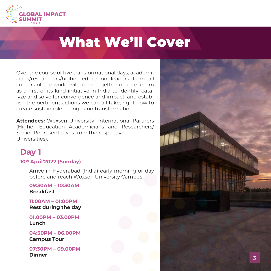

## What We'll Cover

Over the course of five transformational days, academicians/researchers/higher education leaders from all corners of the world will come together on one forum as a first-of-its-kind initiative in India to identify, catalyze and solve for convergence and impact, and establish the pertinent actions we can all take, right now to create sustainable change and transformation.

**Attendees:** Woxsen University- International Partners (Higher Education Academicians and Researchers/ Senior Representatives from the respective Universities).

## **Day 1**

#### **10th April'2022 (Sunday)**

Arrive in Hyderabad (India) early morning or day before and reach Woxsen University Campus.

**09:30AM – 10:30AM Breakfast**

**11:00AM – 01:00PM Rest during the day** 

**01.00PM – 03.00PM Lunch**

**04:30PM – 06.00PM Campus Tour**

**07:30PM – 09.00PM**

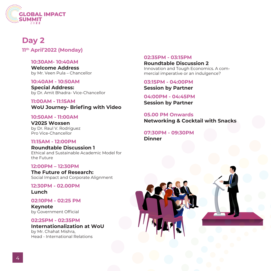

## **Day 2**

**11th April'2022 (Monday)**

#### **10:30AM- 10:40AM**

**Welcome Address**  by Mr. Veen Pula – Chancellor

#### **10:40AM - 10:50AM**

**Special Address:** by Dr. Amit Bhadra- Vice-Chancellor

**11:00AM - 11:15AM WoU Journey- Briefing with Video**

#### **10:50AM - 11:00AM**

**V2025 Woxsen** by Dr. Raul V. Rodriguez Pro Vice-Chancellor

#### **11:15AM - 12:00PM**

**Roundtable Discussion 1**  Ethical and Sustainable Academic Model for the Future

#### **12:00PM – 12:30PM**

**The Future of Research:**  Social Impact and Corporate Alignment

#### **12:30PM - 02.00PM**

**Lunch** 

#### **02:10PM - 02:25 PM**

**Keynote** by Government Official

#### **02:25PM - 02:35PM**

#### **Internationalization at WoU**

by Mr. Chahat Mishra, Head - International Relations

#### **02:35PM - 03:15PM**

**Roundtable Discussion 2**  Innovation and Tough Economics. A commercial imperative or an indulgence?

**03:15PM - 04:00PM**

**Session by Partner** 

**04:00PM - 04:45PM Session by Partner**

**05.00 PM Onwards Networking & Cocktail with Snacks** 

**07:30PM - 09:30PM Dinner**



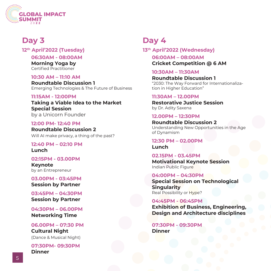

## **Day 3**

**12th April'2022 (Tuesday)**

**06:30AM - 08:00AM**

**Morning Yoga by**  Certified Practitioner

#### **10:30 AM – 11:10 AM**

**Roundtable Discussion 1** Emerging Technologies & The Future of Business

#### **11:15AM - 12:00PM**

**Taking a Viable Idea to the Market Special Session**  by a Unicorn Founder

**12:00 PM- 12:40 PM**

**Roundtable Discussion 2** Will AI make privacy, a thing of the past?

**12:40 PM – 02:10 PM Lunch**

#### **02:15PM - 03.00PM**

**Keynote**  by an Entrepreneur

**03.00PM - 03:45PM Session by Partner**

**03:45PM – 04:30PM Session by Partner** 

**04:30PM – 06.00PM Networking Time** 

**06.00PM – 07:30 PM Cultural Night** (Dance & Musical Night)

**07:30PM- 09:30PM Dinner** 

## **Day 4**

**06:00AM – 08:00AM Cricket Competition @ 6 AM 13th April'2022 (Wednesday)**

**10:30AM – 11:30AM**

**Roundtable Discussion 1** "2030: The Way Forward for Internationalization in Higher Education"

#### **11:30AM – 12.00PM**

**Restorative Justice Session** by Dr. Adity Saxena

**12.00PM – 12:30PM**

**Roundtable Discussion 2** Understanding New Opportunities in the Age of Dynamism

#### **12:30 PM – 02.00PM Lunch**

**02.15PM - 03.45PM Motivational Keynote Session** Indian Public Figure

#### **04:00PM – 04:30PM**

**Special Session on Technological Singularity** Real Possibility or Hype?

**04:45PM - 06:45PM Exhibition of Business, Engineering, Design and Architecture disciplines** 

**07:30PM - 09:30PM Dinner**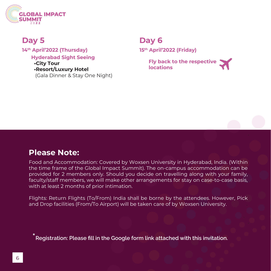

## **Day 5**

**Hyderabad Sight Seeing •City Tour •Resort/Luxury Hotel**  (Gala Dinner & Stay One Night) **14th April'2022 (Thursday)**

## **Day 6**

**15th April'2022 (Friday)**

**Fly back to the respective locations**

### **Please Note:**

- the time frame of the Global Impact Summit). The on-campus accommodation can be - faculty/staff members, we will make other arrangements for stay on case-to-case basis, Food and Accommodation: Covered by Woxsen University in Hyderabad, India. (Within provided for 2 members only. Should you decide on travelling along with your family, with at least 2 months of prior intimation.

Flights: Return Flights (To/From) India shall be borne by the attendees. However, Pick and Drop facilities (From/To Airport) will be taken care of by Woxsen University.

 $\hat{\ }$  Registration: Please fill in the Google form link attached with this invitation.